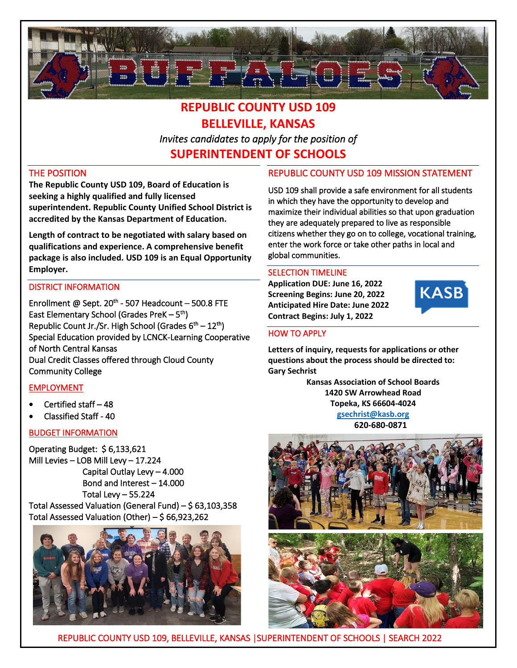

# **REPUBLIC COUNTY USD 109 BELLEVILLE, KANSAS** *Invites candidates to apply for the position of*  **SUPERINTENDENT OF SCHOOLS**

#### THE POSITION

**The Republic County USD 109, Board of Education is seeking a highly qualified and fully licensed superintendent. Republic County Unified School District is accredited by the Kansas Department of Education.** 

**Length of contract to be negotiated with salary based on qualifications and experience. A comprehensive benefit package is also included. USD 109 is an Equal Opportunity Employer.**

#### DISTRICT INFORMATION

Enrollment @ Sept.  $20<sup>th</sup>$  - 507 Headcount – 500.8 FTE East Elementary School (Grades PreK – 5<sup>th</sup>) Republic Count Jr./Sr. High School (Grades 6<sup>th</sup> – 12<sup>th</sup>) Special Education provided by LCNCK-Learning Cooperative of North Central Kansas Dual Credit Classes offered through Cloud County Community College

## EMPLOYMENT

- Certified staff 48
- Classified Staff 40

#### BUDGET INFORMATION

Operating Budget: \$ 6,133,621 Mill Levies – LOB Mill Levy – 17.224 Capital Outlay Levy – 4.000 Bond and Interest – 14.000 Total Levy – 55.224 Total Assessed Valuation (General Fund) – \$ 63,103,358





## REPUBLIC COUNTY USD 109 MISSION STATEMENT

USD 109 shall provide a safe environment for all students in which they have the opportunity to develop and maximize their individual abilities so that upon graduation they are adequately prepared to live as responsible citizens whether they go on to college, vocational training, enter the work force or take other paths in local and global communities.

#### SELECTION TIMELINE

**Application DUE: June 16, 2022 Screening Begins: June 20, 2022 Anticipated Hire Date: June 2022 Contract Begins: July 1, 2022**



#### HOW TO APPLY

**Letters of inquiry, requests for applications or other questions about the process should be directed to: Gary Sechrist**

> **Kansas Association of School Boards 1420 SW Arrowhead Road Topeka, KS 66604-4024 [gsechrist@kasb.org](mailto:gsechrist@kasb.org)**

 **620-680-0871**



REPUBLIC COUNTY USD 109, BELLEVILLE, KANSAS |SUPERINTENDENT OF SCHOOLS | SEARCH 2022